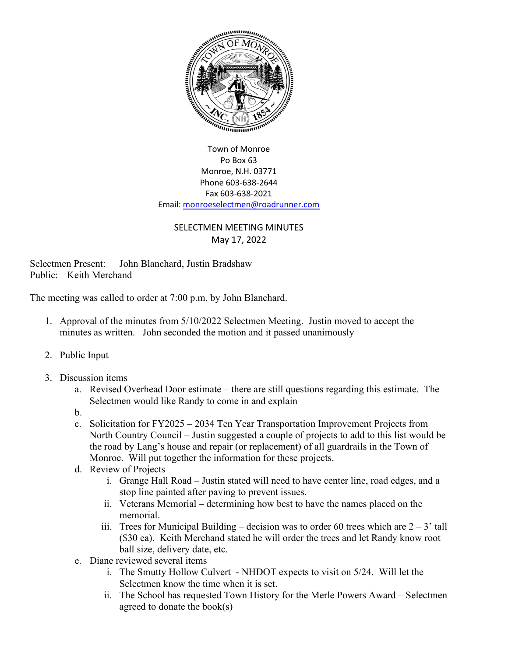

## Town of Monroe Po Box 63 Monroe, N.H. 03771 Phone 603-638-2644 Fax 603-638-2021 Email[: monroeselectmen@roadrunner.com](mailto:monroeselectmen@roadrunner.com)

## SELECTMEN MEETING MINUTES May 17, 2022

Selectmen Present: John Blanchard, Justin Bradshaw Public: Keith Merchand

The meeting was called to order at 7:00 p.m. by John Blanchard.

- 1. Approval of the minutes from 5/10/2022 Selectmen Meeting. Justin moved to accept the minutes as written. John seconded the motion and it passed unanimously
- 2. Public Input
- 3. Discussion items
	- a. Revised Overhead Door estimate there are still questions regarding this estimate. The Selectmen would like Randy to come in and explain
	- b.
	- c. Solicitation for FY2025 2034 Ten Year Transportation Improvement Projects from North Country Council – Justin suggested a couple of projects to add to this list would be the road by Lang's house and repair (or replacement) of all guardrails in the Town of Monroe. Will put together the information for these projects.
	- d. Review of Projects
		- i. Grange Hall Road Justin stated will need to have center line, road edges, and a stop line painted after paving to prevent issues.
		- ii. Veterans Memorial determining how best to have the names placed on the memorial.
		- iii. Trees for Municipal Building decision was to order 60 trees which are  $2 3'$  tall (\$30 ea). Keith Merchand stated he will order the trees and let Randy know root ball size, delivery date, etc.
	- e. Diane reviewed several items
		- i. The Smutty Hollow Culvert NHDOT expects to visit on 5/24. Will let the Selectmen know the time when it is set.
		- ii. The School has requested Town History for the Merle Powers Award Selectmen agreed to donate the book(s)